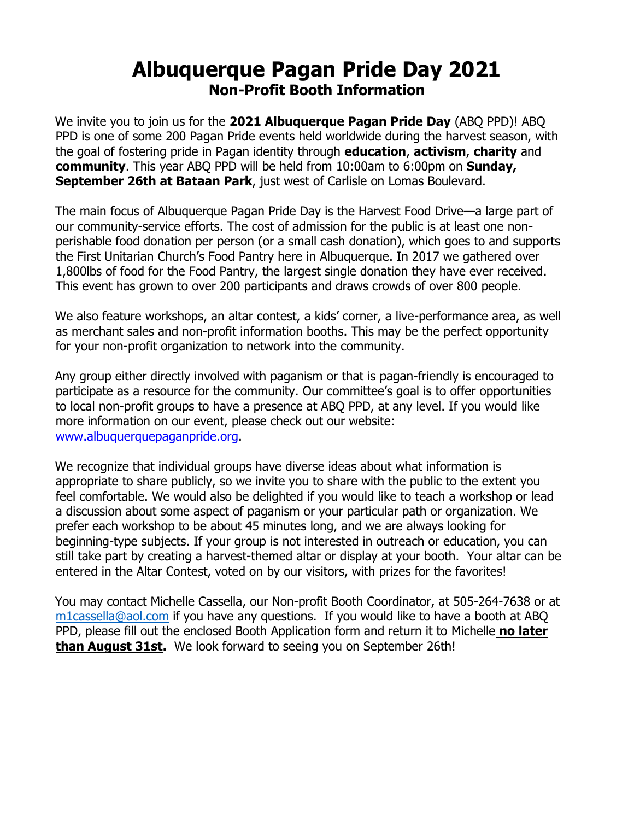## **Albuquerque Pagan Pride Day 2021 Non-Profit Booth Information**

We invite you to join us for the **2021 Albuquerque Pagan Pride Day** (ABQ PPD)! ABQ PPD is one of some 200 Pagan Pride events held worldwide during the harvest season, with the goal of fostering pride in Pagan identity through **education**, **activism**, **charity** and **community**. This year ABQ PPD will be held from 10:00am to 6:00pm on **Sunday, September 26th at Bataan Park**, just west of Carlisle on Lomas Boulevard.

The main focus of Albuquerque Pagan Pride Day is the Harvest Food Drive—a large part of our community-service efforts. The cost of admission for the public is at least one nonperishable food donation per person (or a small cash donation), which goes to and supports the First Unitarian Church's Food Pantry here in Albuquerque. In 2017 we gathered over 1,800lbs of food for the Food Pantry, the largest single donation they have ever received. This event has grown to over 200 participants and draws crowds of over 800 people.

We also feature workshops, an altar contest, a kids' corner, a live-performance area, as well as merchant sales and non-profit information booths. This may be the perfect opportunity for your non-profit organization to network into the community.

Any group either directly involved with paganism or that is pagan-friendly is encouraged to participate as a resource for the community. Our committee's goal is to offer opportunities to local non-profit groups to have a presence at ABQ PPD, at any level. If you would like more information on our event, please check out our website: [www.albuquerquepaganpride.org.](http://www.albuquerquepaganpride.org/)

We recognize that individual groups have diverse ideas about what information is appropriate to share publicly, so we invite you to share with the public to the extent you feel comfortable. We would also be delighted if you would like to teach a workshop or lead a discussion about some aspect of paganism or your particular path or organization. We prefer each workshop to be about 45 minutes long, and we are always looking for beginning-type subjects. If your group is not interested in outreach or education, you can still take part by creating a harvest-themed altar or display at your booth. Your altar can be entered in the Altar Contest, voted on by our visitors, with prizes for the favorites!

You may contact Michelle Cassella, our Non-profit Booth Coordinator, at 505-264-7638 or at [m1cassella@aol.com](mailto:m1cassella@aol.com) if you have any questions. If you would like to have a booth at ABQ PPD, please fill out the enclosed Booth Application form and return it to Michelle **no later than August 31st.** We look forward to seeing you on September 26th!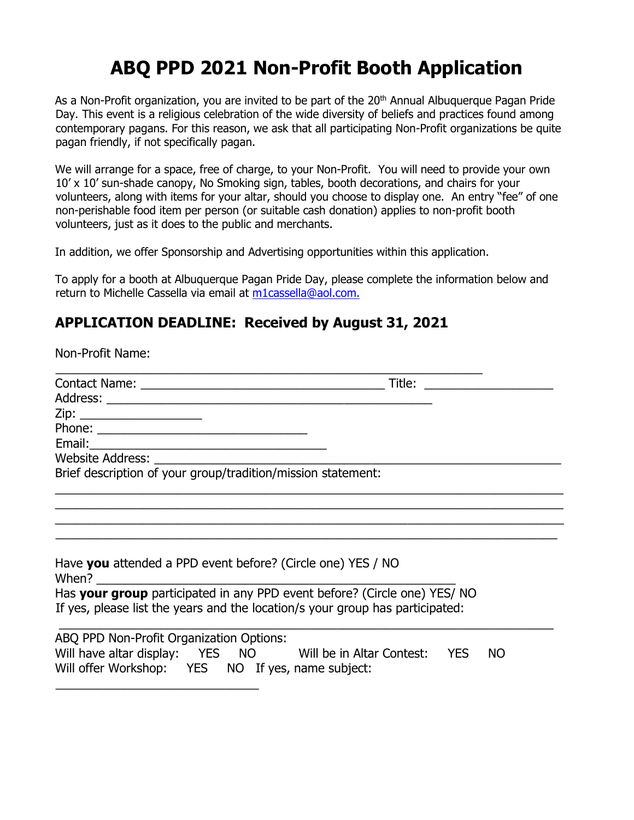## **ABQ PPD 2021 Non-Profit Booth Application**

As a Non-Profit organization, you are invited to be part of the 20<sup>th</sup> Annual Albuquerque Pagan Pride Day. This event is a religious celebration of the wide diversity of beliefs and practices found among contemporary pagans. For this reason, we ask that all participating Non-Profit organizations be quite pagan friendly, if not specifically pagan.

We will arrange for a space, free of charge, to your Non-Profit. You will need to provide your own 10' x 10' sun-shade canopy, No Smoking sign, tables, booth decorations, and chairs for your volunteers, along with items for your altar, should you choose to display one. An entry "fee" of one non-perishable food item per person (or suitable cash donation) applies to non-profit booth volunteers, just as it does to the public and merchants.

In addition, we offer Sponsorship and Advertising opportunities within this application.

To apply for a booth at Albuquerque Pagan Pride Day, please complete the information below and return to Michelle Cassella via email at m1cassella@aol.com.

## **APPLICATION DEADLINE: Received by August 31, 2021**

\_\_\_\_\_\_\_\_\_\_\_\_\_\_\_\_\_\_\_\_\_\_\_\_\_\_\_\_\_\_

Non-Profit Name: \_\_\_\_\_\_\_\_\_\_\_\_\_\_\_\_\_\_\_\_\_\_\_\_\_\_\_\_\_\_\_\_\_\_\_\_\_\_\_\_\_\_\_\_\_\_\_\_\_\_\_\_\_\_\_\_\_\_\_\_\_\_\_ Contact Name: \_\_\_\_\_\_\_\_\_\_\_\_\_\_\_\_\_\_\_\_\_\_\_\_\_\_\_\_\_\_\_\_\_\_\_\_ Title: \_\_\_\_\_\_\_\_\_\_\_\_\_\_\_\_\_\_\_ Address: Zip: \_\_\_\_\_\_\_\_\_\_\_\_\_\_\_\_\_\_ Phone: \_\_\_\_\_\_\_\_\_\_\_\_\_\_\_\_\_\_\_\_\_\_\_\_\_\_\_\_\_\_\_ Email: Website Address: Brief description of your group/tradition/mission statement: \_\_\_\_\_\_\_\_\_\_\_\_\_\_\_\_\_\_\_\_\_\_\_\_\_\_\_\_\_\_\_\_\_\_\_\_\_\_\_\_\_\_\_\_\_\_\_\_\_\_\_\_\_\_\_\_\_\_\_\_\_\_\_\_\_\_\_\_\_\_\_\_\_\_\_ \_\_\_\_\_\_\_\_\_\_\_\_\_\_\_\_\_\_\_\_\_\_\_\_\_\_\_\_\_\_\_\_\_\_\_\_\_\_\_\_\_\_\_\_\_\_\_\_\_\_\_\_\_\_\_\_\_\_\_\_\_\_\_\_\_\_\_\_\_\_\_\_\_\_\_ \_\_\_\_\_\_\_\_\_\_\_\_\_\_\_\_\_\_\_\_\_\_\_\_\_\_\_\_\_\_\_\_\_\_\_\_\_\_\_\_\_\_\_\_\_\_\_\_\_\_\_\_\_\_\_\_\_\_\_\_\_\_\_\_\_\_\_\_\_\_\_\_\_\_\_ \_\_\_\_\_\_\_\_\_\_\_\_\_\_\_\_\_\_\_\_\_\_\_\_\_\_\_\_\_\_\_\_\_\_\_\_\_\_\_\_\_\_\_\_\_\_\_\_\_\_\_\_\_\_\_\_\_\_\_\_\_\_\_\_\_\_\_\_\_\_\_\_\_\_ Have **you** attended a PPD event before? (Circle one) YES / NO When?  $\_$ Has **your group** participated in any PPD event before? (Circle one) YES/ NO If yes, please list the years and the location/s your group has participated:  $\overline{\phantom{a}}$  , and the contribution of the contribution of the contribution of the contribution of the contribution of the contribution of the contribution of the contribution of the contribution of the contribution of the ABQ PPD Non-Profit Organization Options: Will have altar display: YES NO Will be in Altar Contest: YES NO Will offer Workshop: YES NO If yes, name subject: